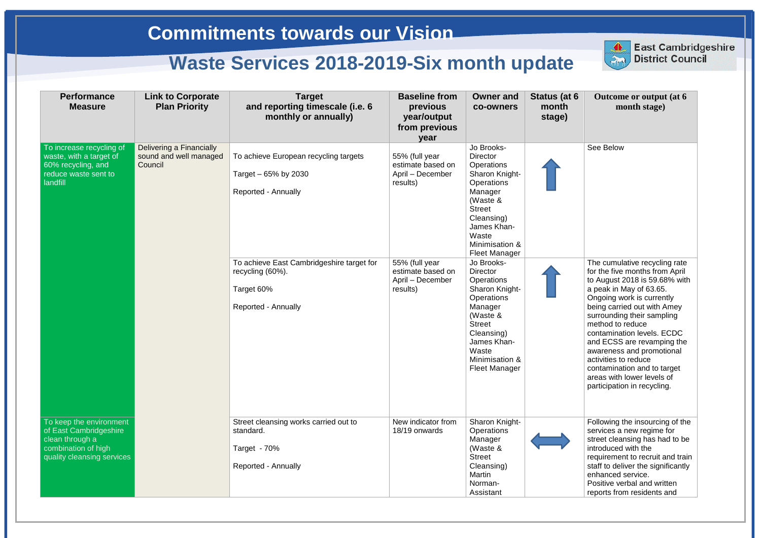| <b>Performance</b><br><b>Measure</b>                                                                                      | <b>Link to Corporate</b><br><b>Plan Priority</b>              | <b>Target</b><br>and reporting timescale (i.e. 6<br>monthly or annually)                                  | <b>Baseline from</b><br>previous<br>year/output<br>from previous<br>year | <b>Owner and</b><br>co-owners                                                                                                                                                                                     | Status (at 6<br>month<br>stage) | Outcome or output (at 6)<br>month stage)                                                                                                                                                                                                                                                                                                                                                                                                               |
|---------------------------------------------------------------------------------------------------------------------------|---------------------------------------------------------------|-----------------------------------------------------------------------------------------------------------|--------------------------------------------------------------------------|-------------------------------------------------------------------------------------------------------------------------------------------------------------------------------------------------------------------|---------------------------------|--------------------------------------------------------------------------------------------------------------------------------------------------------------------------------------------------------------------------------------------------------------------------------------------------------------------------------------------------------------------------------------------------------------------------------------------------------|
| To increase recycling of<br>waste, with a target of<br>60% recycling, and<br>reduce waste sent to<br><b>landfill</b>      | Delivering a Financially<br>sound and well managed<br>Council | To achieve European recycling targets<br>Target – 65% by 2030<br><b>Reported - Annually</b>               | 55% (full year<br>estimate based on<br>April – December<br>results)      | Jo Brooks-<br><b>Director</b><br>Operations<br>Sharon Knight-<br><b>Operations</b><br>Manager<br>(Waste &<br><b>Street</b><br>Cleansing)<br>James Khan-<br>Waste<br>Minimisation &<br><b>Fleet Manager</b>        |                                 | See Below                                                                                                                                                                                                                                                                                                                                                                                                                                              |
|                                                                                                                           |                                                               | To achieve East Cambridgeshire target for<br>recycling (60%).<br>Target 60%<br><b>Reported - Annually</b> | 55% (full year<br>estimate based on<br>April – December<br>results)      | Jo Brooks-<br><b>Director</b><br><b>Operations</b><br>Sharon Knight-<br><b>Operations</b><br>Manager<br>(Waste &<br><b>Street</b><br>Cleansing)<br>James Khan-<br>Waste<br>Minimisation &<br><b>Fleet Manager</b> |                                 | The cumulative recycling rate<br>for the five months from April<br>to August 2018 is 59.68% with<br>a peak in May of 63.65.<br>Ongoing work is currently<br>being carried out with Amey<br>surrounding their sampling<br>method to reduce<br>contamination levels. ECDC<br>and ECSS are revamping the<br>awareness and promotional<br>activities to reduce<br>contamination and to target<br>areas with lower levels of<br>participation in recycling. |
| To keep the environment<br>of East Cambridgeshire<br>clean through a<br>combination of high<br>quality cleansing services |                                                               | Street cleansing works carried out to<br>standard.<br>Target - 70%<br>Reported - Annually                 | New indicator from<br>18/19 onwards                                      | Sharon Knight-<br><b>Operations</b><br>Manager<br>(Waste &<br><b>Street</b><br>Cleansing)<br>Martin<br>Norman-<br>Assistant                                                                                       |                                 | Following the insourcing of the<br>services a new regime for<br>street cleansing has had to be<br>introduced with the<br>requirement to recruit and train<br>staff to deliver the significantly<br>enhanced service.<br>Positive verbal and written<br>reports from residents and                                                                                                                                                                      |



**East Cambridgeshire District Council**

## East Cambridge<br>District Council **East Cambridgeshire**

## **Commitments towards our Vision**

## **Waste Services 2018-2019-Six month update**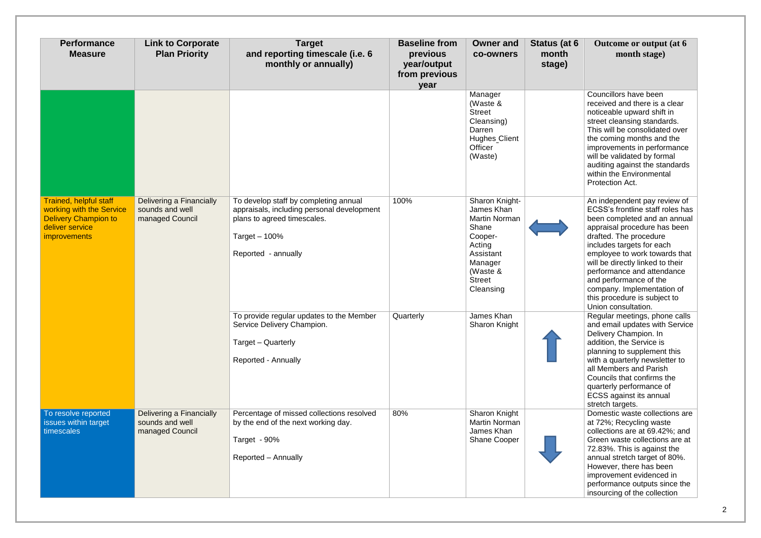| <b>Performance</b><br><b>Measure</b>                                                                                               | <b>Link to Corporate</b><br><b>Plan Priority</b>               | <b>Target</b><br>and reporting timescale (i.e. 6<br>monthly or annually)                                                                                    | <b>Baseline from</b><br>previous<br>year/output<br>from previous<br>year | <b>Owner and</b><br>co-owners                                                                                                                 | Status (at 6<br>month<br>stage) | Outcome or output (at 6<br>month stage)                                                                                                                                                                                                                                                                                                                                                                   |
|------------------------------------------------------------------------------------------------------------------------------------|----------------------------------------------------------------|-------------------------------------------------------------------------------------------------------------------------------------------------------------|--------------------------------------------------------------------------|-----------------------------------------------------------------------------------------------------------------------------------------------|---------------------------------|-----------------------------------------------------------------------------------------------------------------------------------------------------------------------------------------------------------------------------------------------------------------------------------------------------------------------------------------------------------------------------------------------------------|
|                                                                                                                                    |                                                                |                                                                                                                                                             |                                                                          | Manager<br>(Waste &<br><b>Street</b><br>Cleansing)<br>Darren<br><b>Hughes Client</b><br>Officer<br>(Waste)                                    |                                 | Councillors have been<br>received and there is a clear<br>noticeable upward shift in<br>street cleansing standards.<br>This will be consolidated over<br>the coming months and the<br>improvements in performance<br>will be validated by formal<br>auditing against the standards<br>within the Environmental<br>Protection Act.                                                                         |
| <b>Trained, helpful staff</b><br>working with the Service<br><b>Delivery Champion to</b><br>deliver service<br><i>improvements</i> | Delivering a Financially<br>sounds and well<br>managed Council | To develop staff by completing annual<br>appraisals, including personal development<br>plans to agreed timescales.<br>Target $-100%$<br>Reported - annually | 100%                                                                     | Sharon Knight-<br>James Khan<br>Martin Norman<br>Shane<br>Cooper-<br>Acting<br>Assistant<br>Manager<br>(Waste &<br><b>Street</b><br>Cleansing |                                 | An independent pay review of<br>ECSS's frontline staff roles has<br>been completed and an annual<br>appraisal procedure has been<br>drafted. The procedure<br>includes targets for each<br>employee to work towards that<br>will be directly linked to their<br>performance and attendance<br>and performance of the<br>company. Implementation of<br>this procedure is subject to<br>Union consultation. |
|                                                                                                                                    |                                                                | To provide regular updates to the Member<br>Service Delivery Champion.<br>Target - Quarterly<br><b>Reported - Annually</b>                                  | Quarterly                                                                | James Khan<br><b>Sharon Knight</b>                                                                                                            |                                 | Regular meetings, phone calls<br>and email updates with Service<br>Delivery Champion. In<br>addition, the Service is<br>planning to supplement this<br>with a quarterly newsletter to<br>all Members and Parish<br>Councils that confirms the<br>quarterly performance of<br><b>ECSS</b> against its annual<br>stretch targets.                                                                           |
| To resolve reported<br>issues within target<br>timescales                                                                          | Delivering a Financially<br>sounds and well<br>managed Council | Percentage of missed collections resolved<br>by the end of the next working day.<br>Target - 90%<br>Reported - Annually                                     | 80%                                                                      | Sharon Knight<br>Martin Norman<br>James Khan<br><b>Shane Cooper</b>                                                                           |                                 | Domestic waste collections are<br>at 72%; Recycling waste<br>collections are at 69.42%; and<br>Green waste collections are at<br>72.83%. This is against the<br>annual stretch target of 80%.<br>However, there has been<br>improvement evidenced in<br>performance outputs since the<br>insourcing of the collection                                                                                     |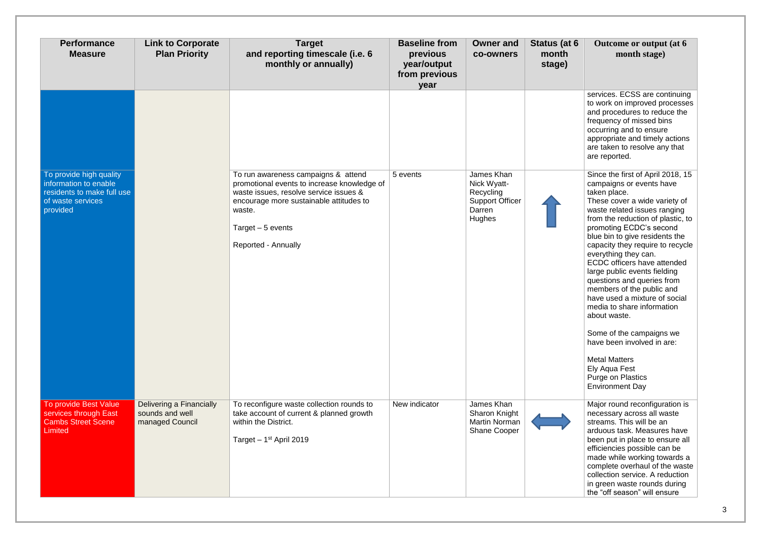| <b>Performance</b><br><b>Measure</b>                                                                            | <b>Link to Corporate</b><br><b>Plan Priority</b>               | <b>Target</b><br>and reporting timescale (i.e. 6<br>monthly or annually)                                                                                                                                                       | <b>Baseline from</b><br>previous<br>year/output<br>from previous<br>year | <b>Owner and</b><br><b>co-owners</b>                                                 | Status (at 6<br>month<br>stage) | Outcome or output (at 6<br>month stage)                                                                                                                                                                                                                                                                                                                                                                                                                                                                                                                                                                                                                                 |
|-----------------------------------------------------------------------------------------------------------------|----------------------------------------------------------------|--------------------------------------------------------------------------------------------------------------------------------------------------------------------------------------------------------------------------------|--------------------------------------------------------------------------|--------------------------------------------------------------------------------------|---------------------------------|-------------------------------------------------------------------------------------------------------------------------------------------------------------------------------------------------------------------------------------------------------------------------------------------------------------------------------------------------------------------------------------------------------------------------------------------------------------------------------------------------------------------------------------------------------------------------------------------------------------------------------------------------------------------------|
|                                                                                                                 |                                                                |                                                                                                                                                                                                                                |                                                                          |                                                                                      |                                 | services. ECSS are continuing<br>to work on improved processes<br>and procedures to reduce the<br>frequency of missed bins<br>occurring and to ensure<br>appropriate and timely actions<br>are taken to resolve any that<br>are reported.                                                                                                                                                                                                                                                                                                                                                                                                                               |
| To provide high quality<br>information to enable<br>residents to make full use<br>of waste services<br>provided |                                                                | To run awareness campaigns & attend<br>promotional events to increase knowledge of<br>waste issues, resolve service issues &<br>encourage more sustainable attitudes to<br>waste.<br>Target $-5$ events<br>Reported - Annually | 5 events                                                                 | James Khan<br>Nick Wyatt-<br>Recycling<br><b>Support Officer</b><br>Darren<br>Hughes |                                 | Since the first of April 2018, 15<br>campaigns or events have<br>taken place.<br>These cover a wide variety of<br>waste related issues ranging<br>from the reduction of plastic, to<br>promoting ECDC's second<br>blue bin to give residents the<br>capacity they require to recycle<br>everything they can.<br>ECDC officers have attended<br>large public events fielding<br>questions and queries from<br>members of the public and<br>have used a mixture of social<br>media to share information<br>about waste.<br>Some of the campaigns we<br>have been involved in are:<br><b>Metal Matters</b><br>Ely Aqua Fest<br>Purge on Plastics<br><b>Environment Day</b> |
| To provide Best Value<br>services through East<br><b>Cambs Street Scene</b><br>Limited                          | Delivering a Financially<br>sounds and well<br>managed Council | To reconfigure waste collection rounds to<br>take account of current & planned growth<br>within the District.<br>Target $-1st$ April 2019                                                                                      | New indicator                                                            | James Khan<br>Sharon Knight<br><b>Martin Norman</b><br>Shane Cooper                  |                                 | Major round reconfiguration is<br>necessary across all waste<br>streams. This will be an<br>arduous task. Measures have<br>been put in place to ensure all<br>efficiencies possible can be<br>made while working towards a<br>complete overhaul of the waste<br>collection service. A reduction<br>in green waste rounds during<br>the "off season" will ensure                                                                                                                                                                                                                                                                                                         |